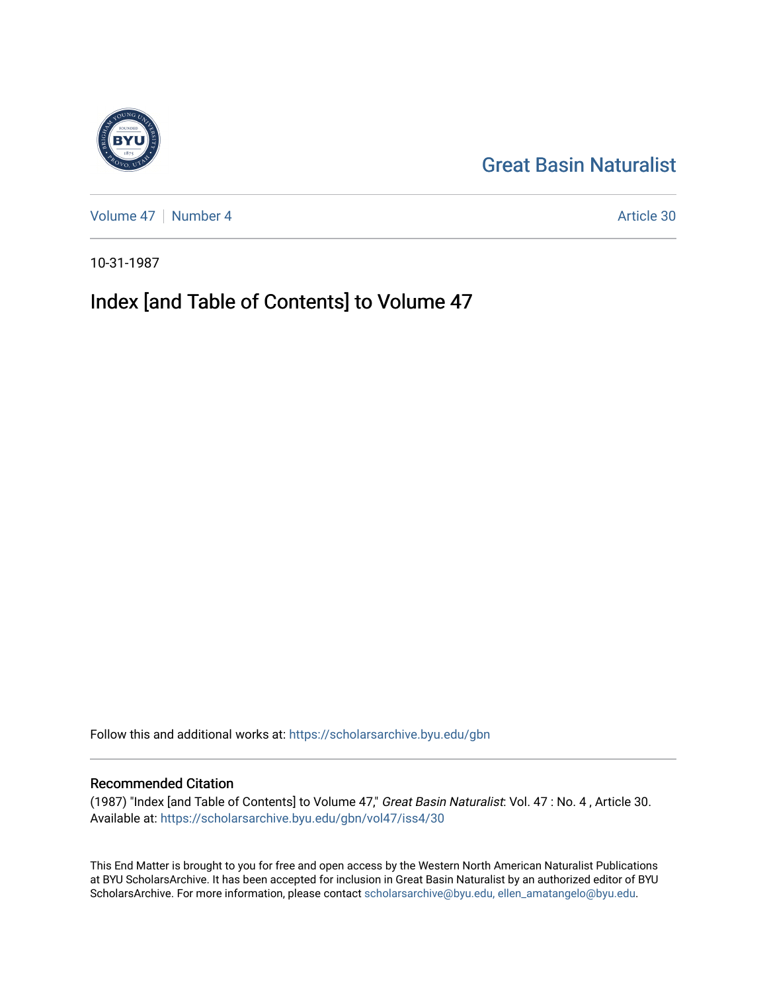## [Great Basin Naturalist](https://scholarsarchive.byu.edu/gbn)

[Volume 47](https://scholarsarchive.byu.edu/gbn/vol47) | [Number 4](https://scholarsarchive.byu.edu/gbn/vol47/iss4) Article 30

10-31-1987

# Index [and Table of Contents] to Volume 47

Follow this and additional works at: [https://scholarsarchive.byu.edu/gbn](https://scholarsarchive.byu.edu/gbn?utm_source=scholarsarchive.byu.edu%2Fgbn%2Fvol47%2Fiss4%2F30&utm_medium=PDF&utm_campaign=PDFCoverPages) 

### Recommended Citation

(1987) "Index [and Table of Contents] to Volume 47," Great Basin Naturalist: Vol. 47 : No. 4 , Article 30. Available at: [https://scholarsarchive.byu.edu/gbn/vol47/iss4/30](https://scholarsarchive.byu.edu/gbn/vol47/iss4/30?utm_source=scholarsarchive.byu.edu%2Fgbn%2Fvol47%2Fiss4%2F30&utm_medium=PDF&utm_campaign=PDFCoverPages) 

This End Matter is brought to you for free and open access by the Western North American Naturalist Publications at BYU ScholarsArchive. It has been accepted for inclusion in Great Basin Naturalist by an authorized editor of BYU ScholarsArchive. For more information, please contact [scholarsarchive@byu.edu, ellen\\_amatangelo@byu.edu.](mailto:scholarsarchive@byu.edu,%20ellen_amatangelo@byu.edu)

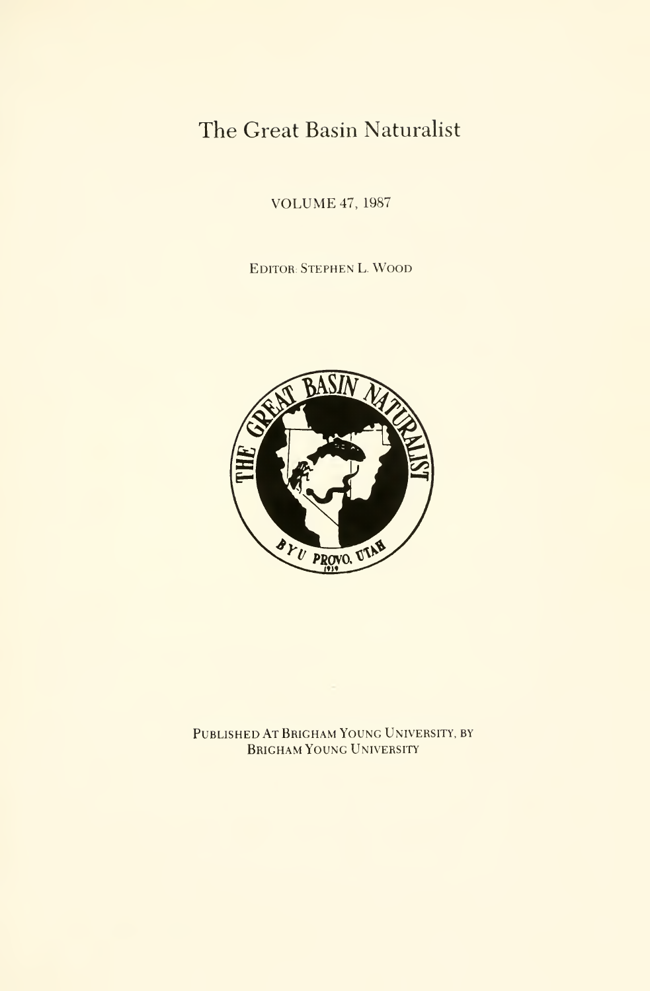## The Great Basin Naturalist

VOLUME 47, <sup>1987</sup>

EDITOR: Stephen L. Wood



Published At Brigham Young University, by Brigham Young University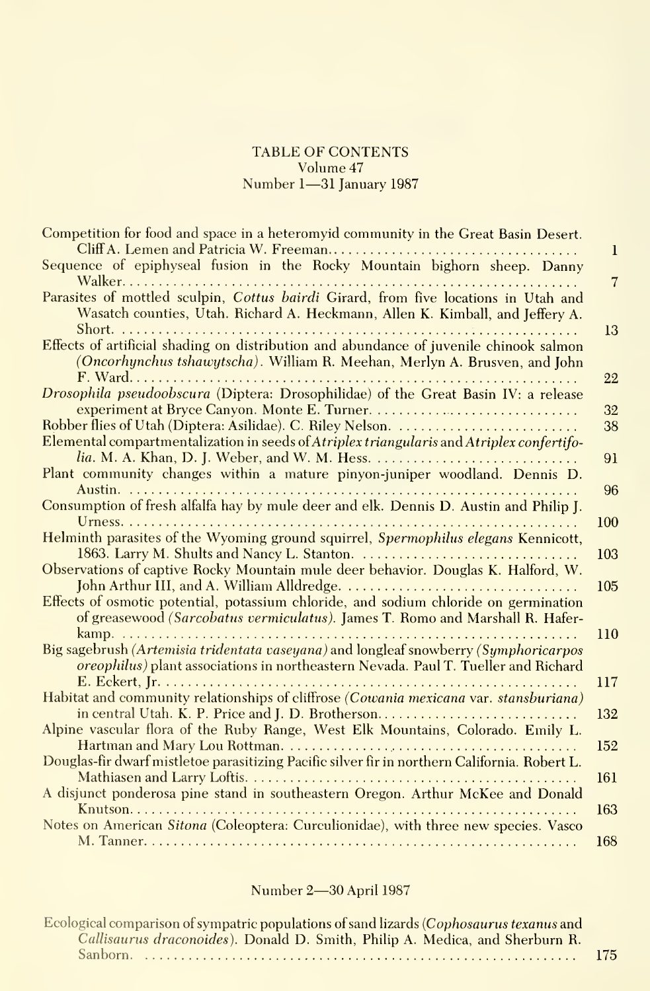#### TABLE OF CONTENTS Volume 47 Number 1-31 January 1987

| Competition for food and space in a heteromyid community in the Great Basin Desert.                                                                                        | 1              |
|----------------------------------------------------------------------------------------------------------------------------------------------------------------------------|----------------|
| Sequence of epiphyseal fusion in the Rocky Mountain bighorn sheep. Danny                                                                                                   | $\overline{7}$ |
| Parasites of mottled sculpin, Cottus bairdi Girard, from five locations in Utah and<br>Wasatch counties, Utah. Richard A. Heckmann, Allen K. Kimball, and Jeffery A.       |                |
| Effects of artificial shading on distribution and abundance of juvenile chinook salmon                                                                                     | 13             |
| (Oncorhynchus tshawytscha). William R. Meehan, Merlyn A. Brusven, and John                                                                                                 | 22             |
| Drosophila pseudoobscura (Diptera: Drosophilidae) of the Great Basin IV: a release                                                                                         | 32             |
| Elemental compartmentalization in seeds of Atriplex triangularis and Atriplex confertifo-                                                                                  | 38             |
| Plant community changes within a mature pinyon-juniper woodland. Dennis D.                                                                                                 | 91             |
| Consumption of fresh alfalfa hay by mule deer and elk. Dennis D. Austin and Philip J.                                                                                      | 96             |
|                                                                                                                                                                            | 100            |
| Helminth parasites of the Wyoming ground squirrel, Spermophilus elegans Kennicott,                                                                                         | 103            |
| Observations of captive Rocky Mountain mule deer behavior. Douglas K. Halford, W.                                                                                          | 105            |
| Effects of osmotic potential, potassium chloride, and sodium chloride on germination<br>of greasewood (Sarcobatus vermiculatus). James T. Romo and Marshall R. Hafer-      |                |
| Big sagebrush (Artemisia tridentata vaseyana) and longleaf snowberry (Symphoricarpos<br>oreophilus) plant associations in northeastern Nevada. Paul T. Tueller and Richard | 110            |
| Habitat and community relationships of cliffrose (Cowania mexicana var. stansburiana)                                                                                      | 117            |
| in central Utah. K. P. Price and J. D. Brotherson<br>Alpine vascular flora of the Ruby Range, West Elk Mountains, Colorado. Emily L.                                       | 132            |
| Douglas-fir dwarf mistletoe parasitizing Pacific silver fir in northern California. Robert L.                                                                              | 152            |
| A disjunct ponderosa pine stand in southeastern Oregon. Arthur McKee and Donald                                                                                            | 161            |
| Notes on American Sitona (Coleoptera: Curculionidae), with three new species. Vasco                                                                                        | 163            |
|                                                                                                                                                                            | 168            |

### Number 2—30 April 1987

Ecological comparison of sympatric populations of sand lizards (*Cophosaurus texanus* and Callisaurus draconoides). Donald D. Smith, Philip A. Medica, and Sherburn R. Sanborn 175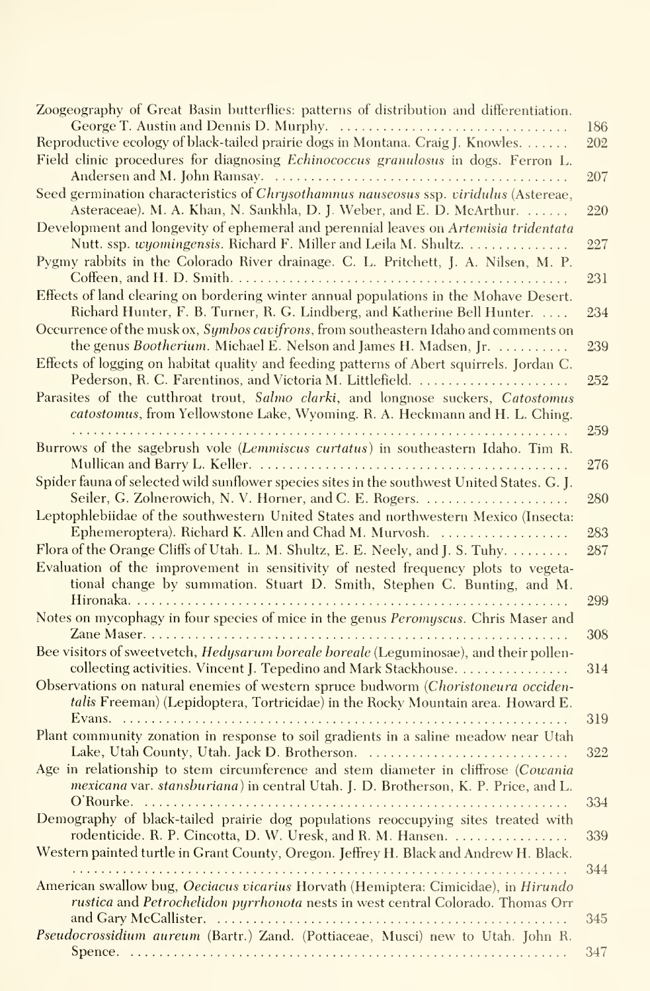| Zoogeography of Great Basin butterflies: patterns of distribution and differentiation.                                                                                                                                       | 186        |
|------------------------------------------------------------------------------------------------------------------------------------------------------------------------------------------------------------------------------|------------|
| Reproductive ecology of black-tailed prairie dogs in Montana. Craig J. Knowles.                                                                                                                                              | 202        |
| Field clinic procedures for diagnosing Echinococcus granulosus in dogs. Ferron L.                                                                                                                                            | 207        |
| Seed germination characteristics of Chrysothamnus nauseosus ssp. viridulus (Astereae,<br>Asteraceae). M. A. Khan, N. Sankhla, D. J. Weber, and E. D. McArthur.                                                               | 220        |
| Development and longevity of ephemeral and perennial leaves on Artemisia tridentata<br>Nutt. ssp. wyomingensis. Richard F. Miller and Leila M. Shultz.                                                                       | 227        |
| Pygmy rabbits in the Colorado River drainage. C. L. Pritchett, J. A. Nilsen, M. P.                                                                                                                                           | 231        |
| Effects of land clearing on bordering winter annual populations in the Mohave Desert.<br>Richard Hunter, F. B. Turner, R. G. Lindberg, and Katherine Bell Hunter.                                                            | 234        |
| Occurrence of the musk ox, Symbos cavifrons, from southeastern Idaho and comments on<br>the genus Bootherium. Michael E. Nelson and James H. Madsen, Jr.                                                                     | 239        |
| Effects of logging on habitat quality and feeding patterns of Abert squirrels. Jordan C.                                                                                                                                     |            |
| Pederson, R. C. Farentinos, and Victoria M. Littlefield.<br>Parasites of the cutthroat trout, Salmo clarki, and longnose suckers, Catostomus<br>catostomus, from Yellowstone Lake, Wyoming. R. A. Heckmann and H. L. Ching.  | 252        |
| Burrows of the sagebrush vole (Lemmiscus curtatus) in southeastern Idaho. Tim R.                                                                                                                                             | 259        |
| Spider fauna of selected wild sunflower species sites in the southwest United States. G. J.                                                                                                                                  | 276        |
| Leptophlebiidae of the southwestern United States and northwestern Mexico (Insecta:                                                                                                                                          | 280        |
| Ephemeroptera). Richard K. Allen and Chad M. Murvosh.<br>Flora of the Orange Cliffs of Utah. L. M. Shultz, E. E. Neely, and J. S. Tuhy.<br>Evaluation of the improvement in sensitivity of nested frequency plots to vegeta- | 283<br>287 |
| tional change by summation. Stuart D. Smith, Stephen C. Bunting, and M.                                                                                                                                                      | 299        |
| Notes on mycophagy in four species of mice in the genus Peromyscus. Chris Maser and                                                                                                                                          | 308        |
| Bee visitors of sweetvetch, <i>Hedysarum boreale boreale</i> (Leguminosae), and their pollen-<br>collecting activities. Vincent J. Tepedino and Mark Stackhouse.                                                             | 314        |
| Observations on natural enemies of western spruce budworm (Choristoneura occiden-<br>talis Freeman) (Lepidoptera, Tortricidae) in the Rocky Mountain area. Howard E.                                                         |            |
| Evans. $\ldots \ldots \ldots \ldots \ldots \ldots \ldots \ldots \ldots \ldots$<br>Plant community zonation in response to soil gradients in a saline meadow near Utah<br>Lake, Utah County, Utah. Jack D. Brotherson.        | 319<br>322 |
| Age in relationship to stem circumference and stem diameter in cliffrose (Cowania<br><i>mexicana</i> var. <i>stansburiana</i> ) in central Utah. J. D. Brotherson, K. P. Price, and L.                                       |            |
| Demography of black-tailed prairie dog populations reoccupying sites treated with<br>rodenticide. R. P. Cincotta, D. W. Uresk, and R. M. Hansen.                                                                             | 334<br>339 |
| Western painted turtle in Grant County, Oregon. Jeffrey H. Black and Andrew H. Black.                                                                                                                                        | 344        |
| American swallow bug, Oeciacus vicarius Horvath (Hemiptera: Cimicidae), in Hirundo<br>rustica and Petrochelidon pyrrhonota nests in west central Colorado. Thomas Orr                                                        |            |
| Pseudocrossidium aureum (Bartr.) Zand. (Pottiaceae, Musci) new to Utah. John R.                                                                                                                                              | 345        |
|                                                                                                                                                                                                                              | 347        |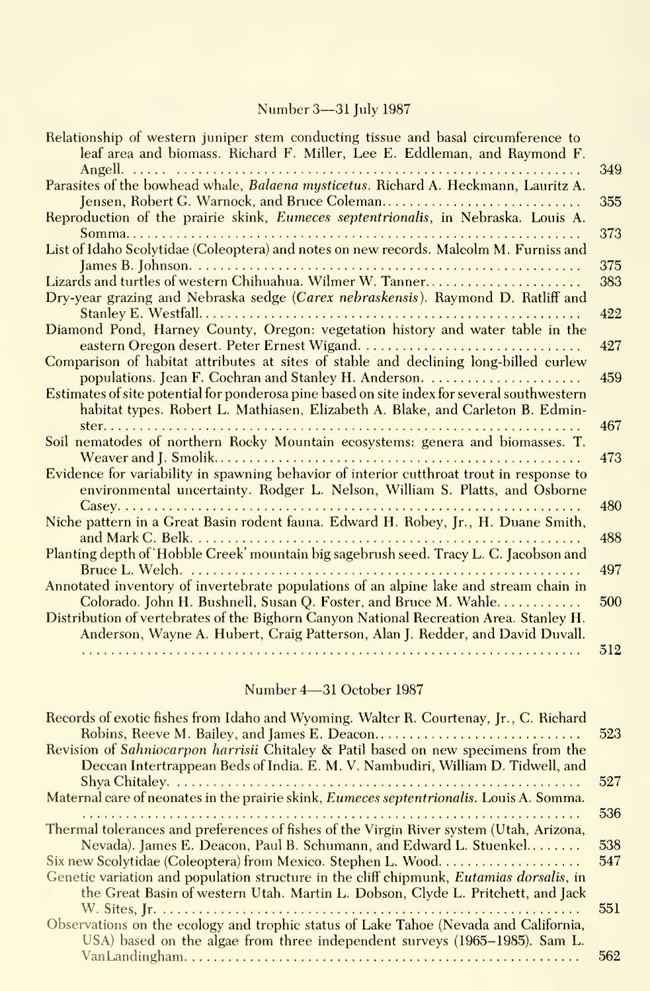### Number 3—31 July 1987

| Relationship of western juniper stem conducting tissue and basal circumference to<br>leaf area and biomass. Richard F. Miller, Lee E. Eddleman, and Raymond F. |     |
|----------------------------------------------------------------------------------------------------------------------------------------------------------------|-----|
|                                                                                                                                                                | 349 |
| Parasites of the bowhead whale, Balaena mysticetus. Richard A. Heckmann, Lauritz A.                                                                            |     |
| Jensen, Robert G. Warnock, and Bruce Coleman                                                                                                                   | 355 |
| Reproduction of the prairie skink, Eumeces septentrionalis, in Nebraska. Louis A.                                                                              |     |
|                                                                                                                                                                | 373 |
| List of Idaho Scolytidae (Coleoptera) and notes on new records. Malcolm M. Furniss and                                                                         |     |
|                                                                                                                                                                | 375 |
| Lizards and turtles of western Chihuahua. Wilmer W. Tanner                                                                                                     | 383 |
| Dry-year grazing and Nebraska sedge (Carex nebraskensis). Raymond D. Ratliff and                                                                               |     |
|                                                                                                                                                                | 422 |
| Diamond Pond, Harney County, Oregon: vegetation history and water table in the                                                                                 |     |
|                                                                                                                                                                | 427 |
| Comparison of habitat attributes at sites of stable and declining long-billed curlew                                                                           |     |
|                                                                                                                                                                | 459 |
| Estimates of site potential for ponderosa pine based on site index for several southwestern                                                                    |     |
| habitat types. Robert L. Mathiasen, Elizabeth A. Blake, and Carleton B. Edmin-                                                                                 |     |
|                                                                                                                                                                | 467 |
| Soil nematodes of northern Rocky Mountain ecosystems: genera and biomasses. T.                                                                                 |     |
|                                                                                                                                                                | 473 |
| Evidence for variability in spawning behavior of interior cutthroat trout in response to                                                                       |     |
| environmental uncertainty. Rodger L. Nelson, William S. Platts, and Osborne                                                                                    |     |
|                                                                                                                                                                | 480 |
| Niche pattern in a Great Basin rodent fauna. Edward H. Robey, Jr., H. Duane Smith,                                                                             |     |
|                                                                                                                                                                | 488 |
| Planting depth of 'Hobble Creek' mountain big sagebrush seed. Tracy L. C. Jacobson and                                                                         |     |
|                                                                                                                                                                | 497 |
| Annotated inventory of invertebrate populations of an alpine lake and stream chain in                                                                          |     |
| Colorado. John H. Bushnell, Susan Q. Foster, and Bruce M. Wahle                                                                                                | 500 |
| Distribution of vertebrates of the Bighorn Canyon National Recreation Area. Stanley H.                                                                         |     |
| Anderson, Wayne A. Hubert, Craig Patterson, Alan J. Redder, and David Duvall.                                                                                  |     |
|                                                                                                                                                                | 512 |
|                                                                                                                                                                |     |

## Number 4—31 October 1987

| Records of exotic fishes from Idaho and Wyoming. Walter R. Courtenay, Jr., C. Richard            |      |
|--------------------------------------------------------------------------------------------------|------|
|                                                                                                  | 523  |
| Revision of Sahniocarpon harrisii Chitaley & Patil based on new specimens from the               |      |
| Deccan Intertrappean Beds of India. E. M. V. Nambudiri, William D. Tidwell, and                  |      |
|                                                                                                  | 527  |
| Maternal care of neonates in the prairie skink, <i>Eumeces septentrionalis</i> . Louis A. Somma. |      |
|                                                                                                  | 536  |
| Thermal tolerances and preferences of fishes of the Virgin River system (Utah, Arizona,          |      |
| Nevada). James E. Deacon, Paul B. Schumann, and Edward L. Stuenkel                               | .538 |
| Six new Scolytidae (Coleoptera) from Mexico. Stephen L. Wood                                     | 547  |
| Genetic variation and population structure in the cliff chipmunk, <i>Eutamias dorsalis</i> , in  |      |
| the Great Basin of western Utah. Martin L. Dobson, Clyde L. Pritchett, and Jack                  |      |
|                                                                                                  | 551  |
| Observations on the ecology and trophic status of Lake Tahoe (Nevada and California,             |      |
| USA) based on the algae from three independent surveys (1965–1985). Sam L.                       |      |
|                                                                                                  | 562  |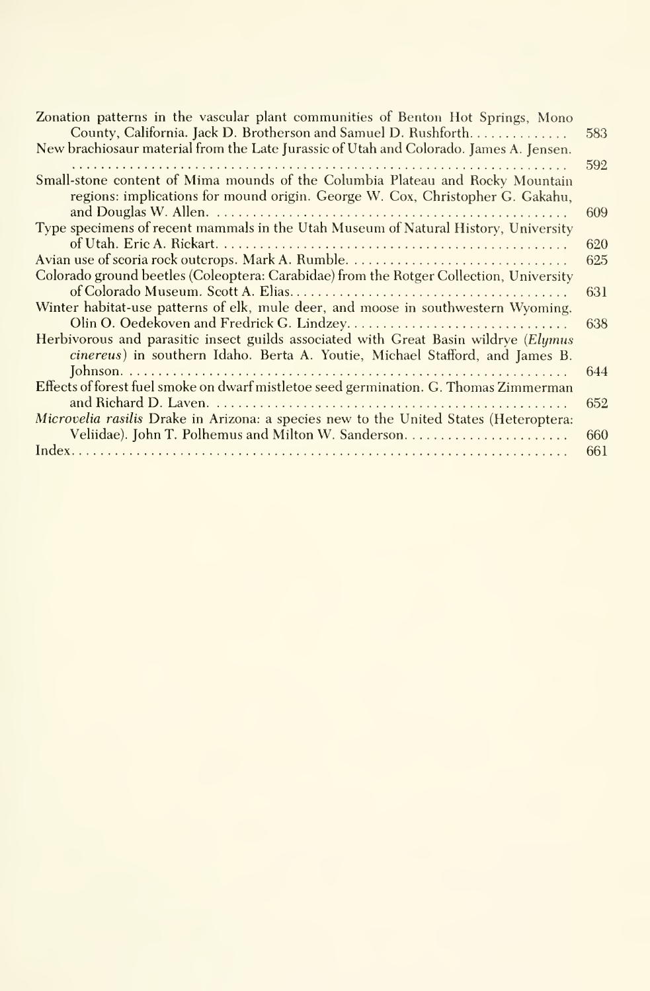| Zonation patterns in the vascular plant communities of Benton Hot Springs, Mono<br>County, California. Jack D. Brotherson and Samuel D. Rushforth.                  | 583 |
|---------------------------------------------------------------------------------------------------------------------------------------------------------------------|-----|
| New brachiosaur material from the Late Jurassic of Utah and Colorado. James A. Jensen.                                                                              |     |
|                                                                                                                                                                     | 592 |
| Small-stone content of Mima mounds of the Columbia Plateau and Rocky Mountain<br>regions: implications for mound origin. George W. Cox, Christopher G. Gakahu,      |     |
|                                                                                                                                                                     | 609 |
| Type specimens of recent mammals in the Utah Museum of Natural History, University                                                                                  |     |
|                                                                                                                                                                     | 620 |
|                                                                                                                                                                     | 625 |
| Colorado ground beetles (Coleoptera: Carabidae) from the Rotger Collection, University                                                                              |     |
|                                                                                                                                                                     | 631 |
| Winter habitat-use patterns of elk, mule deer, and moose in southwestern Wyoming.                                                                                   |     |
|                                                                                                                                                                     | 638 |
| Herbivorous and parasitic insect guilds associated with Great Basin wildrye (Elymus<br>cinereus) in southern Idaho. Berta A. Youtie, Michael Stafford, and James B. |     |
|                                                                                                                                                                     | 644 |
| Effects of forest fuel smoke on dwarf mistletoe seed germination. G. Thomas Zimmerman                                                                               |     |
|                                                                                                                                                                     | 652 |
| Microvelia rasilis Drake in Arizona: a species new to the United States (Heteroptera:                                                                               |     |
|                                                                                                                                                                     | 660 |
|                                                                                                                                                                     | 661 |
|                                                                                                                                                                     |     |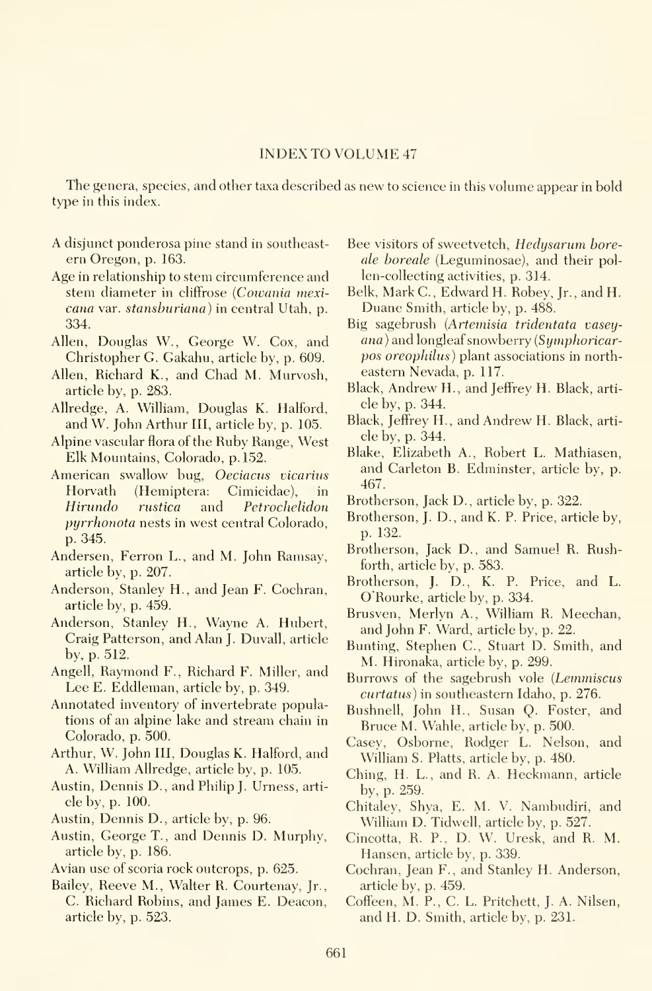#### INDEX TO VOLUME <sup>47</sup>

The genera, species, and other taxa described as new to science in this volume appear in bold type in this index.

- A disjunct ponderosa pine stand in southeast ern Oregon, p. 163.
- Age in relationship to stem circumference and stem diameter in cliffrose {Cowania mexi cana var. stansburiana) in central Utah, p. 334.
- Allen, Douglas W., George W. Cox, and Christopher G. Gakahu, article by, p. 609.
- Allen, Richard K., and Chad M. Murvosh, article by, p. 283.
- Allredge, A. William, Douglas K. Halford, and W. John Arthur III, article by, p. 105.
- Alpine vascular flora of the Ruby Range, West Elk Mountains, Colorado, p. 152.
- American swallow bug, Oeciacus vicarius Horvath (Hemiptera: Cimicidae), in Hirundo rustica and Petrochelidon pyrrhonota nests in west central Colorado, p. 345.
- Andersen, Perron L., and M. John Ramsay, article by, p. 207.
- Anderson, Stanley H., and Jean F. Cochran, article by, p. 459.
- Anderson, Stanley H., Wayne A. Hubert, Craig Patterson, and Alan J. Duvall, article by, p. 512.
- Angell, Raymond P., Richard F. Miller, and Lee E. Eddleman, article by, p. 349.
- Annotated inventory of invertebrate populations of an alpine lake and stream chain in Colorado, p. 500.
- Arthur, W. John III, Douglas K. Halford, and A. William Allredge, article by, p. 105.
- Austin, Dennis D., and Philip J. Urness, arti cle by, p. 100.
- Austin, Dennis D., article by, p. 96.
- Austin, George T. , and Dennis D. Murphy, article by, p. 186.
- Avian use of scoria rock outcrops, p. 625.
- Bailey, Reeve M., Walter R. Courtenay, Jr., C. Richard Robins, and James E. Deacon, article by, p. 523.
- Bee visitors of sweetvetch, Hedysarum boreale boreale (Leguminosae), and their pollen-collecting activities, p. 314.
- Belk, Mark C., Edward H. Robey, Jr., and H. Duane Smith, article by, p. 488.
- Big sagebrush {Artemisia tridentata vasey ana ) and longleaf snowberry {Symphoricarpos oreophilus) plant associations in north eastern Nevada, p. 117.
- Black, Andrew H., and Jeffrey H. Black, arti cle by, p. 344.
- Black, Jeffrey H., and Andrew H. Black, arti cle by, p. 344.
- Blake, Elizabeth A., Robert L. Mathiasen, and Carleton B. Edminster, article by, p. 467.
- Brotherson, Jack D., article by, p. 322.
- Brotherson, J. D., and K. P. Price, article by, p. 132.
- Brotherson, Jack D., and Samuel R. Rushforth, article by, p. 583.
- Brotherson, J. D., K. P. Price, and L. O'Rourke, article by, p. 334.
- Brusven, Merlyn A., William R. Meechan, and John P. Ward, article by, p. 22.
- Bunting, Stephen C, Stuart D. Smith, and M. Hironaka, article by, p. 299.
- Burrows of the sagebrush vole {Lemmiscus  $cutatus$ ) in southeastern Idaho, p. 276.
- Bushnell, John H., Susan Q. Poster, and Bruce M. Wahle, article by, p. 500.
- Casey, Osborne, Rodger L. Nelson, and William S. Platts, article by, p. 480.
- Ching, H. L., and R. A. Heckmann, article by, p. 259.
- Chitaley, Shya, E. M. V. Nambudiri, and William D. Tidwell, article by, p. 527.
- Cincotta, R. P., D. W. Uresk, and R. M. Hansen, article by, p. 339.
- Cochran, Jean P., and Stanley H. Anderson, article by, p. 459.
- Coffeen, M. P., C. L. Pritchett, J. A. Nilsen, and H. D. Smith, article by, p. 231.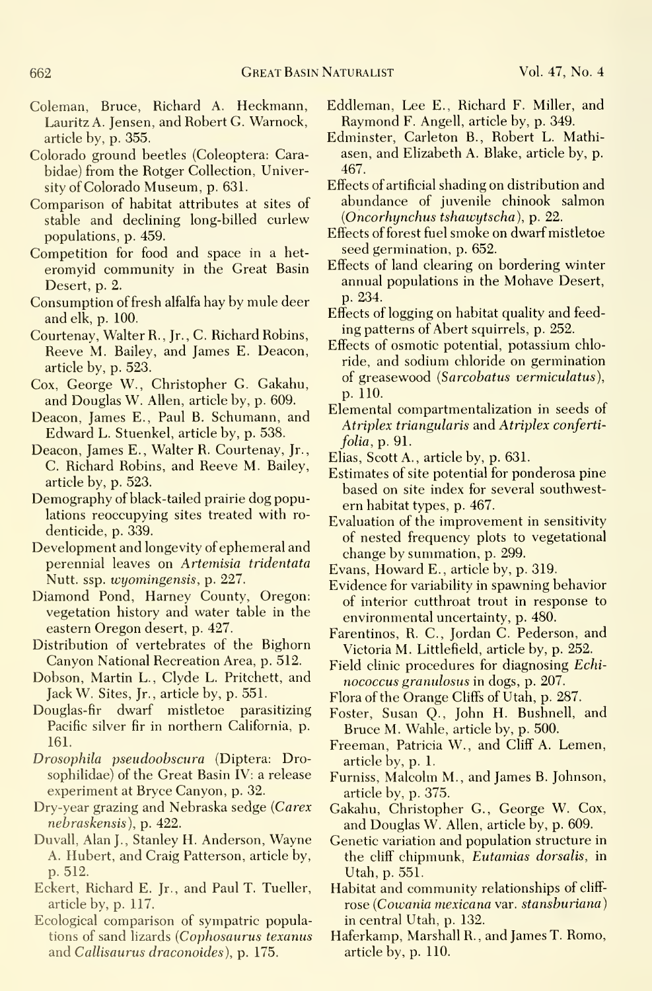- Coleman, Bruce, Richard A. Heckmann, Lauritz A. Jensen, and Robert G. Warnock, article by, p. 355.
- Colorado ground beetles (Coleoptera: Carabidae) from the Rotger Collection, University of Colorado Museum, p. 631.
- Comparison of habitat attributes at sites of stable and declining long-billed curlew populations, p. 459.
- Competition for food and space in a het eromyid community in the Great Basin Desert, p. 2.
- Consumption of fresh alfalfa hay by mule deer and elk, p. 100.
- Courtenay, Walter R. , Jr. , C. Richard Robins, Reeve M. Bailey, and James E. Deacon, article by, p. 523.
- Cox, George W., Christopher G. Gakahu, and Douglas W. Allen, article by, p. 609.
- Deacon, James E., Paul B. Schumann, and Edward L. Stuenkel, article by, p. 538.
- Deacon, James E., Walter R. Courtenay, Jr., C. Richard Robins, and Reeve M. Bailey, article by, p. 523.
- Demography of black-tailed prairie dog populations reoccupying sites treated with ro denticide, p. 339.
- Development and longevity of ephemeral and perennial leaves on Artemisia tridentata Nutt. ssp. wyomingensis, p. 227.
- Diamond Pond, Harney County, Oregon: vegetation history and water table in the eastern Oregon desert, p. 427.
- Distribution of vertebrates of the Bighorn Canyon National Recreation Area, p. 512.
- Dobson, Martin L., Clyde L. Pritchett, and Jack W. Sites, Jr., article by, p. 551.
- Douglas-fir dwarf mistletoe parasitizing Pacific silver fir in northern California, p. 161.
- Drosophila pseudoobscura (Diptera: Drosophilidae) of the Great Basin IV: a release experiment at Bryce Canyon, p. 32.
- Dry-year grazing and Nebraska sedge (Carex nebraskensis), p. 422.
- Duvall, Alan J., Stanley H. Anderson, Wayne A. Hubert, and Craig Patterson, article by, p. 512.
- Eckert, Richard E. Jr., and Paul T. Tueller, article by, p. 117.
- Ecological comparison of sympatric populations of sand lizards {Cophosaurus texanus and Callisaurus draconoides), p. 175.
- Eddleman, Lee E., Richard F. Miller, and Raymond F. Angell, article by, p. 349.
- Edminster, Carleton B., Robert L. Mathiasen, and Elizabeth A. Blake, article by, p. 467.
- Effects of artificial shading on distribution and abundance of juvenile chinook salmon {Oncorhynchus tshawytscha), p. 22.
- Effects of forest fuel smoke on dwarf mistletoe seed germination, p. 652.
- Effects of land clearing on bordering winter annual populations in the Mohave Desert, p. 234.
- Effects of logging on habitat quality and feed ing patterns of Abert squirrels, p. 252.
- Effects of osmotic potential, potassium chloride, and sodium chloride on germination of greasewood {Sarcobatus vermiculatus), p. 110.
- Elemental compartmentalization in seeds of Atriplex triangularis and Atriplex confertifolia, p. 91.
- Elias, Scott A., article by, p. 631.
- Estimates of site potential for ponderosa pine based on site index for several southwest ern habitat types, p. 467.
- Evaluation of the improvement in sensitivity of nested frequency plots to vegetational change by summation, p. 299.
- Evans, Howard E., article by, p. 319.
- Evidence for variability in spawning behavior of interior cutthroat trout in response to environmental uncertainty, p. 480.
- Farentinos, R. C, Jordan C. Pederson, and Victoria M. Littlefield, article by, p. 252.
- Field clinic procedures for diagnosing Echi nococcus granulosus in dogs, p. 207.
- Flora of the Orange Cliffs of Utah, p. 287.
- Foster, Susan Q., John H. Bushnell, and Bruce M. Wahle, article by, p. 500.
- Freeman, Patricia W., and Cliff A. Lemen, article by, p. 1.
- Furniss, Malcolm M., and James B. Johnson, article by, p. 375.
- Gakahu, Christopher G., George W. Cox, and Douglas W. Allen, article by, p. 609.
- Genetic variation and population structure in the cliff chipmunk, Eutamias dorsalis, in Utah, p. 551.
- Habitat and community relationships of cliff rose (Cowania mexicana var. stansburiana) in central Utah, p. 132.
- Haferkamp, Marshall R., and James T. Romo, article by, p. 110.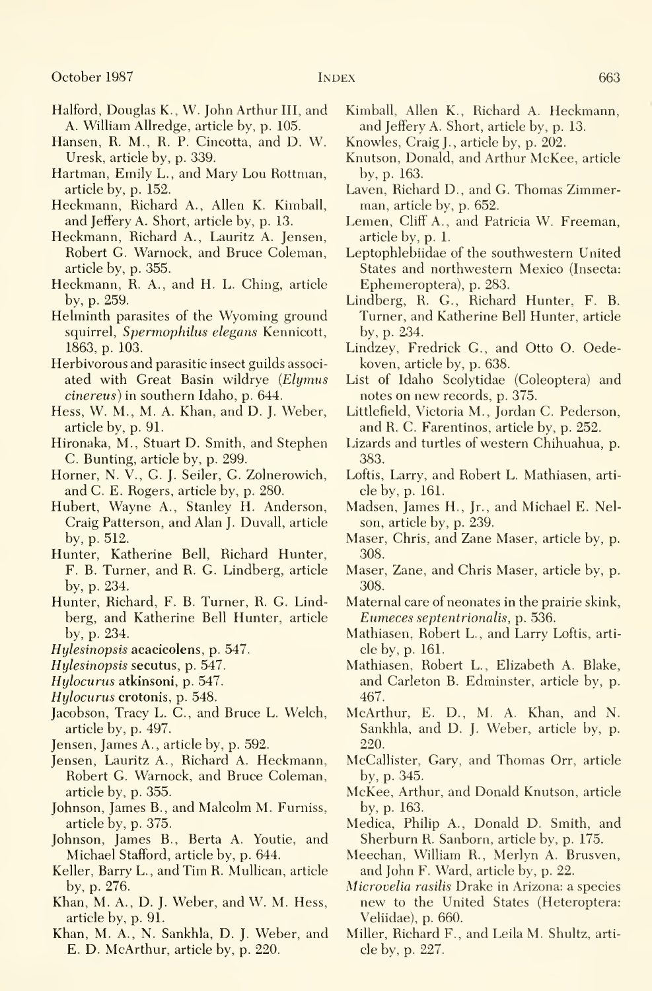- Halford, Douglas K., W. John Arthur III, and A. Wilham Allredge, article by, p. 105.
- Hansen, R. M., R. P. Cincotta, and D. W. Uresk, article by, p. 339.
- Hartman, Emily L., and Mary Lou Rottman, article by, p. 152.
- Heckmann, Richard A., Allen K. Kimball, and Jeffery A. Short, article by, p. 13.
- Heckmann, Richard A., Lauritz A. Jensen, Robert G. Warnock, and Bruce Coleman, article by, p. 355.
- Heckmann, R. A., and H. L. Ching, article by, p. 259.
- Helminth parasites of the Wyoming ground squirrel, Spermophilus elegans Kennicott, 1863, p. 103.
- Herbivorous and parasitic insect guilds associ ated with Great Basin wildrye (Elymus cinereus) in southern Idaho, p. 644.
- Hess, W. M., M. A. Khan, and D. J. Weber, article by, p. 91.
- Hironaka, M., Stuart D. Smith, and Stephen C. Bunting, article by, p. 299.
- Horner, N. V., G. J. Seiler, G. Zolnerowich, and C. E. Rogers, article by, p. 280.
- Hubert, Wayne A., Stanley H. Anderson, Craig Patterson, and Alan J. Duvall, article by, p. 512.
- Hunter, Katherine Bell, Richard Hunter, F. B. Turner, and R. G. Lindberg, article by, p. 234.
- Hunter, Richard, F. B. Turner, R. G. Lindberg, and Katherine Bell Hunter, article by, p. 234.
- Hylesinopsis acacicolens, p. 547.
- Hylesinopsis secutus, p. 547.
- Hylocurus atkinsoni, p. 547.
- Hylocurus crotonis, p. 548.
- Jacobson, Tracy L. C, and Bruce L. Welch, article by, p. 497.
- Jensen, James A., article by, p. 592.
- Jensen, Lauritz A., Richard A. Heckmann, Robert G. Warnock, and Bruce Coleman, article by, p. 355.
- Johnson, James B., and Malcolm M. Furniss, article by, p. 375.
- Johnson, James B., Berta A. Youtie, and Michael Stafford, article by, p. 644.
- Keller, Barry L., and Tim R. Mullican, article by, p. 276.
- Khan, M. A., D. J. Weber, and W. M. Hess, article by, p. 91.
- Khan, M. A., N. Sankhla, D. J. Weber, and E. D. McArthur, article by, p. 220.
- Kimball, Allen K., Richard A. Heckmann, and Jeffery A. Short, article by, p. 13.
- Knowles, Craig J., article by, p. 202.
- Knutson, Donald, and Arthur McKee, article by, p. 163.
- Laven, Richard D., and G. Thomas Zimmerman, article by, p. 652.
- Lemen, Cliff A., and Patricia W. Freeman, article by, p. 1.
- Leptophlebiidae of the southwestern United States and northwestern Mexico (Insecta: Ephemeroptera), p. 283.
- Lindberg, R. G., Richard Hunter, F. B. Turner, and Katherine Bell Hunter, article by, p. 234.
- Lindzey, Fredrick G., and Otto O. Oedekoven, article by, p. 638.
- List of Idaho Scolytidae (Coleoptera) and notes on new records, p. 375.
- Littlefield, Victoria M., Jordan C. Pederson, and R. C. Farentinos, article by, p. 252.
- Lizards and turtles of western Chihuahua, p. 383.
- Loftis, Larry, and Robert L. Mathiasen, arti cle by, p. 161.
- Madsen, James H., Jr., and Michael E. Nelson, article by, p. 239.
- Maser, Chris, and Zane Maser, article by, p. 308.
- Maser, Zane, and Chris Maser, article by, p. 308.
- Maternal care of neonates in the prairie skink, Eumeces septentrionalis, p. 536.
- Mathiasen, Robert L., and Larry Loftis, arti cle by, p. 161.
- Mathiasen, Robert L., Elizabeth A. Blake, and Carleton B. Edminster, article by, p. 467.
- McArthur, E. D., M. A. Khan, and N. Sankhla, and D. J. Weber, article by, p. 220.
- McCallister, Gary, and Thomas Orr, article by, p. 345.
- McKee, Arthur, and Donald Knutson, article by, p. 163.
- Medica, Philip A., Donald D. Smith, and Sherburn R. Sanborn, article by, p. 175.
- Meechan, William R., Merlyn A. Brusven, and John F. Ward, article by, p. 22.
- Microvelia rasilis Drake in Arizona: a species new to the United States (Heteroptera: Veliidae), p. 660.
- Miller, Richard F., and Leila M. Shultz, arti cle by, p. 227.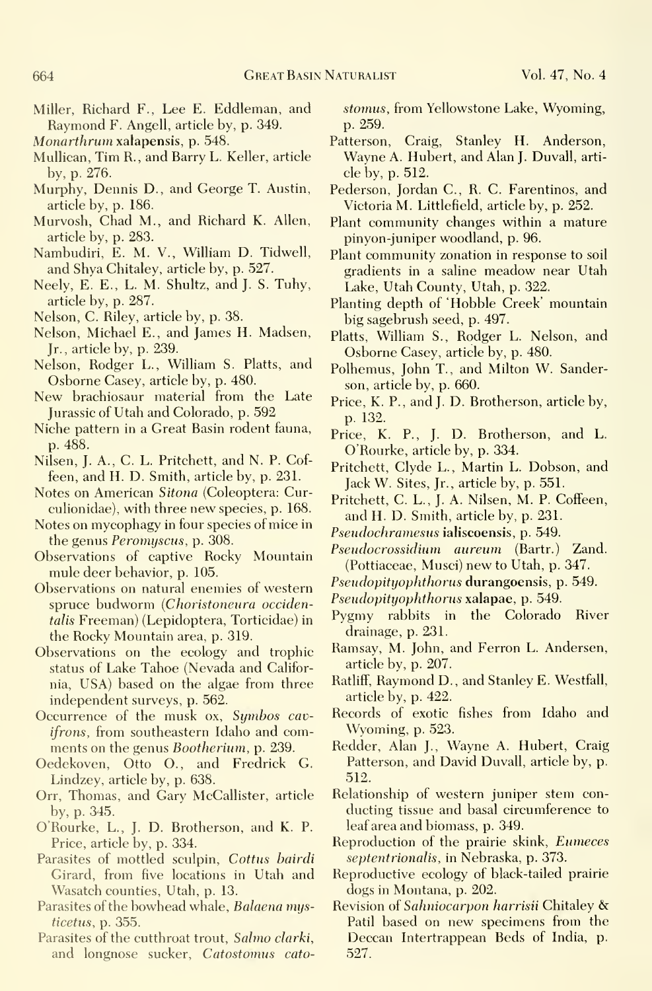- Miller, Richard F., Lee E. Eddleman, and Raymond F. Angell, article by, p. 349.
- Monarthrum xalapensis, p. 548.
- Mullican, Tim R., and Barry L. Keller, article by, p. 276.
- Murphy, Dennis D., and George T. Austin, article by, p. 186.
- Murvosh, Chad M., and Richard K. Allen, article by, p. 283.
- Nambudiri, E. M. V., William D. Tidwell, and Shya Chitaley, article by, p. 527.
- Neely, E. E., L. M. Shultz, and J. S. Tuhy, article by, p. 287.
- Nelson, C. Riley, article by, p. 38.
- Nelson, Michael E., and James H. Madsen, Jr., article by, p. 239.
- Nelson, Rodger L., William S. Platts, and Osborne Gasey, article by, p. 480.
- New brachiosaur material from the Late Jurassic of Utah and Colorado, p. 592
- Niche pattern in a Great Basin rodent fauna, p. 488.
- Nilsen, J. A., G. L. Pritchett, and N. P. Goffeen, and H. D. Smith, article by, p. 23L
- Notes on American Sitona (Coleoptera: Curculionidae), with three new species, p. 168.
- Notes on mycophagy in four species of mice in the genus Peromyscus, p. 308.
- Observations of captive Rocky Mountain mule deer behavior, p. 105.
- Observations on natural enemies of western spruce budworm (Choristoneura occidentalis Freeman) (Lepidoptera, Torticidae) in the Rocky Mountain area, p. 319.
- Observations on the ecology and trophic status of Lake Tahoe (Nevada and California, USA) based on the algae from three independent surveys, p. 562.
- Occurrence of the musk ox, Symbos cavifrons, from southeastern Idaho and comments on the genus Bootherium, p. 239.
- Oedekoven, Otto O., and Fredrick G. Lindzey, article by, p. 638.
- Orr, Thomas, and Gary McCallister, article by, p. 345.
- O'Rourke, L., J. D. Brotherson, and K. P. Price, article by, p. 334.
- Parasites of mottled sculpin, Cottus bairdi Girard, from five locations in Utah and Wasatch counties, Utah, p. 13.
- Parasites of the bowhead whale, Balaena mysticetus, p. 355.
- Parasites of the cutthroat trout, Salmo clarki, and longnose sucker, Catostomus cato-

stomus, from Yellowstone Lake, Wyoming, p. 259.

- Patterson, Craig, Stanley H. Anderson, Wayne A. Hubert, and Alan J. Duvall, arti cle by, p. 512.
- Pederson, Jordan C, R. G. Farentinos, and Victoria M. Littlefield, article by, p. 252.
- Plant community changes within a mature pinyon-juniper woodland, p. 96.
- Plant community zonation in response to soil gradients in a saline meadow near Utah Lake, Utah County, Utah, p. 322.
- Planting depth of 'Hobble Creek' mountain big sagebrush seed, p. 497.
- Platts, William S., Rodger L. Nelson, and Osborne Gasey, article by, p. 480.
- Polhemus, John T., and Milton W. Sanderson, article by, p. 660.
- Price, K. P., and J. D. Brotherson, article by, p. 132.
- Price, K. P., J. D. Brotherson, and L. O'Rourke, article by, p. 334.
- Pritchett, Clyde L., Martin L. Dobson, and Jack W. Sites, Jr., article by, p. 551.
- Pritchett, C. L., J. A. Nilsen, M. P. Coffeen, and H. D. Smith, article by, p. 231.
- Pseudochramesus ialiscoensis, p. 549.
- Pseudocrossidium aureum (Bartr.) Zand. (Pottiaceae, Musci) new to Utah, p. 347.
- Pseudopityophthorus durangoensis, p. 549.
- Pseudopityophthorus xalapae, p. 549.
- Pygmy rabbits in the Colorado River drainage, p. 231.
- Ramsay, M. John, and Ferron L. Andersen, article by, p. 207.
- Ratliff, Raymond D., and Stanley E. Westfall, article by, p. 422.
- Records of exotic fishes from Idaho and Wyoming, p. 523.
- Redder, Alan J., Wayne A. Hubert, Craig Patterson, and David Duvall, article by, p. 512.
- Relationship of western juniper stem con ducting tissue and basal circumference to leaf area and biomass, p. 349.
- Reproduction of the prairie skink, Eumeces septentrionalis, in Nebraska, p. 373.
- Reproductive ecology of black-tailed prairie dogs in Montana, p. 202.
- Revision of Sahniocarpon harrisii Chitaley & Patil based on new specimens from the Deccan Intertrappean Beds of India, p. 527.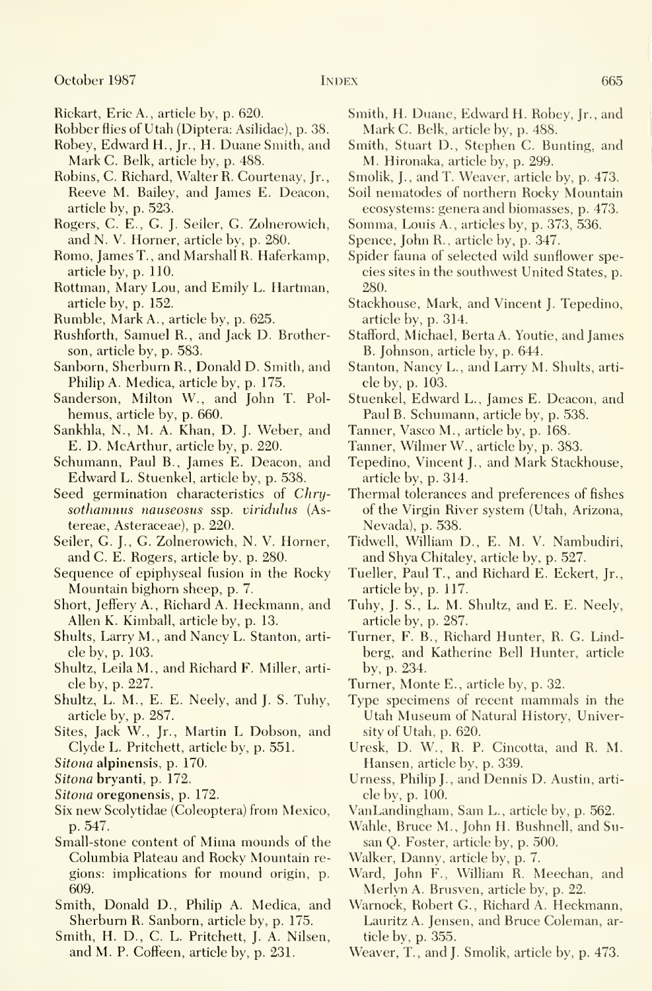- Rickart, Eric A., article by, p. 620.
- Robber flies of Utah (Diptera: Asilidae), p. 38.
- Robey, Edward H., Jr., H. Duane Smith, and Mark C. Belk, article by, p. 488.
- Robins, C. Richard, Walter R. Courtenay, Jr., Reeve M. Bailey, and James E. Deacon, article by, p. 523.
- Rogers, C. E., G. J. Seiler, G. Zolnerowich, and N. V. Horner, article by, p. 280.
- Romo, James T. , and Marshall R. Haferkamp, article by, p. 110.
- Rottman, Mary Lou, and Emily L. Hartman, article by, p. 152.
- Rumble, Mark A., article by, p. 625.
- Rushforth, Samuel R., and Jack D. Brotherson, article by, p. 583.
- Sanborn, Sherburn R., Donald D. Smith, and Philip A. Medica, article by, p. 175.
- Sanderson, Milton W., and John T. Polhemus, article by, p. 660.
- Sankhla, N., M. A. Khan, D. J. Weber, and E. D. McArthur, article by, p. 220.
- Schumann, Paul B., James E. Deacon, and Edward L. Stuenkel, article by, p. 538.
- Seed germination characteristics of Chrysothamnus nauseosus ssp. viridulus (Astereae, Asteraceae), p. 220.
- Seiler, G. J., G. Zolnerowich, N. V. Horner, and C. E. Rogers, article by, p. 280.
- Sequence of epiphyseal fusion in the Rocky Mountain bighorn sheep, p. 7.
- Short, Jeffery A., Richard A. Heckmann, and Allen K. Kimball, article by, p. 13.
- Shults, Larry M., and Nancy L. Stanton, arti cle by, p. 103.
- Shultz, Leila M., and Richard F. Miller, arti cle by, p. 227.
- Shultz, L. M., E. E. Neely, and J. S. Tuhy, article by, p. 287.
- Sites, Jack W., Jr., Martin L Dobson, and Clyde L. Pritchett, article by, p. 551.
- Sitona alpinensis, p. 170.
- Sitona bryanti, p. 172.
- Sitona oregonensis, p. 172.
- Six new Scolytidae (Coleoptera) from Mexico, p. 547.
- Small-stone content of Mima mounds of the Columbia Plateau and Rocky Mountain re gions: implications for mound origin, p. 609.
- Smith, Donald D., Philip A. Medica, and Sherburn R. Sanborn, article by, p. 175.
- Smith, H. D., C. L. Pritchett, J. A. Nilsen, and M. P. Coffeen, article by, p. 231.
- Smith, H. Duane, Edward H. Robey, Jr., and Mark C. Belk, article by, p. 488.
- Smith, Stuart D., Stephen C. Bunting, and M. Hironaka, article by, p. 299.
- Smolik, J., and T. Weaver, article by, p. 473.
- Soil nematodes of northern Rocky Mountain ecosystems: genera and biomasses, p. 473.
- Somma, Louis A., articles by, p. 373, 536.
- Spence, John R., article by, p. 347.
- Spider fauna of selected wild sunflower species sites in the southwest United States, p. 280.
- Stackhouse, Mark, and Vincent J. Tepedino, article by, p. 314.
- Stafford, Michael, BertaA. Youtie, and James B. Johnson, article by, p. 644.
- Stanton, Nancy L., and Larry M. Shults, arti cle by, p. 103.
- Stuenkel, Edward L., James E. Deacon, and Paul B. Schumann, article by, p. 538.
- Tanner, Vasco M., article by, p. 168.
- Tanner, Wilmer W., article by, p. 383.
- Tepedino, Vincent J., and Mark Stackhouse, article by, p. 314.
- Thermal tolerances and preferences of fishes of the Virgin River system (Utah, Arizona, Nevada), p. 538.
- Tidwell, William D., E. M. V. Nambudiri, and Shya Chitaley, article by, p. 527.
- Tueller, Paul T. , and Richard E. Eckert, Jr., article by, p. 117.
- Tuhy, J. S., L. M. Shultz, and E. E. Neely, article by, p. 287.
- Turner, F. B., Richard Hunter, R. G. Lindberg, and Katherine Bell Hunter, article by, p. 234.
- Turner, Monte E., article by, p. 32.
- Type specimens of recent mammals in the Utah Museum of Natural History, University of Utah, p. 620.
- Uresk, D. W., R. P. Cincotta, and R. M. Hansen, article by, p. 339.
- Urness, Philip J., and Dennis D. Austin, article by, p. 100.
- VanLandingham, Sam L., article by, p. 562.
- Wahle, Bruce M., John H. Bushnell, and Susan Q. Foster, article by, p. 500.
- Walker, Danny, article by, p. 7.
- Ward, John F., William R. Meechan, and Merlyn A. Brusven, article by, p. 22.
- Warnock, Robert G., Richard A. Heckmann, Lauritz A. Jensen, and Bruce Coleman, article by, p. 355.
- Weaver, T., and J. Smolik, article by, p. 473.